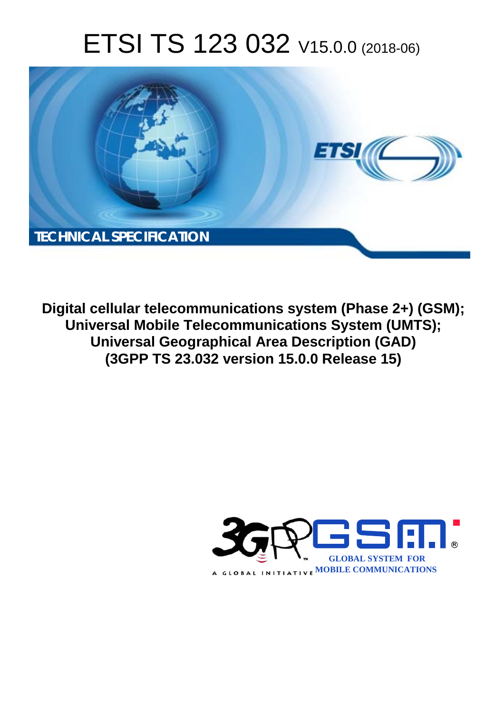# ETSI TS 123 032 V15.0.0 (2018-06)



**Digital cellular telecommunications system (Phase 2+) (GSM); Universal Mobile Telecommunications System (UMTS); Universal Geographical Area Description (GAD) (3GPP TS 23.032 version 15.0.0 Release 15)** 

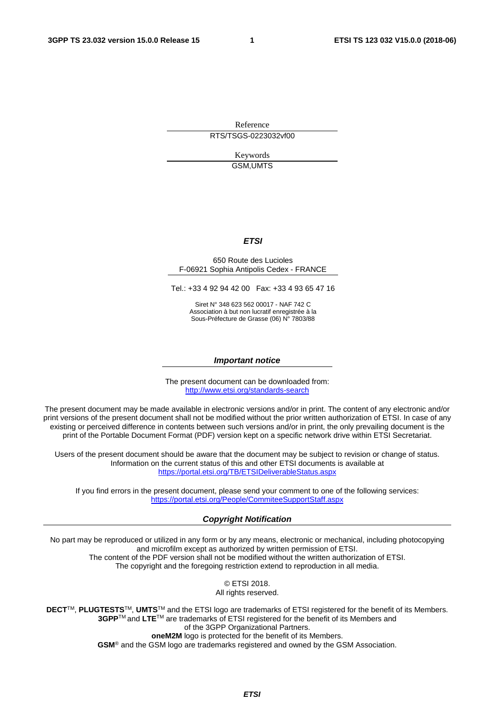Reference RTS/TSGS-0223032vf00

> Keywords GSM,UMTS

#### *ETSI*

#### 650 Route des Lucioles F-06921 Sophia Antipolis Cedex - FRANCE

Tel.: +33 4 92 94 42 00 Fax: +33 4 93 65 47 16

Siret N° 348 623 562 00017 - NAF 742 C Association à but non lucratif enregistrée à la Sous-Préfecture de Grasse (06) N° 7803/88

#### *Important notice*

The present document can be downloaded from: <http://www.etsi.org/standards-search>

The present document may be made available in electronic versions and/or in print. The content of any electronic and/or print versions of the present document shall not be modified without the prior written authorization of ETSI. In case of any existing or perceived difference in contents between such versions and/or in print, the only prevailing document is the print of the Portable Document Format (PDF) version kept on a specific network drive within ETSI Secretariat.

Users of the present document should be aware that the document may be subject to revision or change of status. Information on the current status of this and other ETSI documents is available at <https://portal.etsi.org/TB/ETSIDeliverableStatus.aspx>

If you find errors in the present document, please send your comment to one of the following services: <https://portal.etsi.org/People/CommiteeSupportStaff.aspx>

#### *Copyright Notification*

No part may be reproduced or utilized in any form or by any means, electronic or mechanical, including photocopying and microfilm except as authorized by written permission of ETSI. The content of the PDF version shall not be modified without the written authorization of ETSI. The copyright and the foregoing restriction extend to reproduction in all media.

> © ETSI 2018. All rights reserved.

**DECT**TM, **PLUGTESTS**TM, **UMTS**TM and the ETSI logo are trademarks of ETSI registered for the benefit of its Members. **3GPP**TM and **LTE**TM are trademarks of ETSI registered for the benefit of its Members and of the 3GPP Organizational Partners. **oneM2M** logo is protected for the benefit of its Members.

**GSM**® and the GSM logo are trademarks registered and owned by the GSM Association.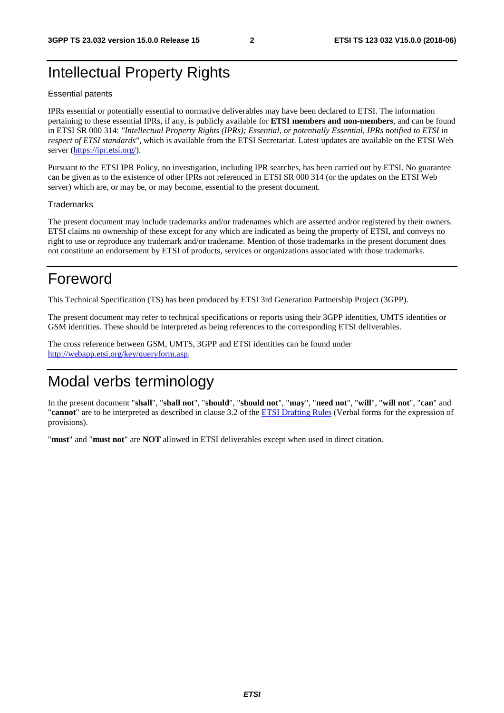## Intellectual Property Rights

#### Essential patents

IPRs essential or potentially essential to normative deliverables may have been declared to ETSI. The information pertaining to these essential IPRs, if any, is publicly available for **ETSI members and non-members**, and can be found in ETSI SR 000 314: *"Intellectual Property Rights (IPRs); Essential, or potentially Essential, IPRs notified to ETSI in respect of ETSI standards"*, which is available from the ETSI Secretariat. Latest updates are available on the ETSI Web server ([https://ipr.etsi.org/\)](https://ipr.etsi.org/).

Pursuant to the ETSI IPR Policy, no investigation, including IPR searches, has been carried out by ETSI. No guarantee can be given as to the existence of other IPRs not referenced in ETSI SR 000 314 (or the updates on the ETSI Web server) which are, or may be, or may become, essential to the present document.

#### **Trademarks**

The present document may include trademarks and/or tradenames which are asserted and/or registered by their owners. ETSI claims no ownership of these except for any which are indicated as being the property of ETSI, and conveys no right to use or reproduce any trademark and/or tradename. Mention of those trademarks in the present document does not constitute an endorsement by ETSI of products, services or organizations associated with those trademarks.

## Foreword

This Technical Specification (TS) has been produced by ETSI 3rd Generation Partnership Project (3GPP).

The present document may refer to technical specifications or reports using their 3GPP identities, UMTS identities or GSM identities. These should be interpreted as being references to the corresponding ETSI deliverables.

The cross reference between GSM, UMTS, 3GPP and ETSI identities can be found under [http://webapp.etsi.org/key/queryform.asp.](http://webapp.etsi.org/key/queryform.asp)

## Modal verbs terminology

In the present document "**shall**", "**shall not**", "**should**", "**should not**", "**may**", "**need not**", "**will**", "**will not**", "**can**" and "**cannot**" are to be interpreted as described in clause 3.2 of the [ETSI Drafting Rules](https://portal.etsi.org/Services/editHelp!/Howtostart/ETSIDraftingRules.aspx) (Verbal forms for the expression of provisions).

"**must**" and "**must not**" are **NOT** allowed in ETSI deliverables except when used in direct citation.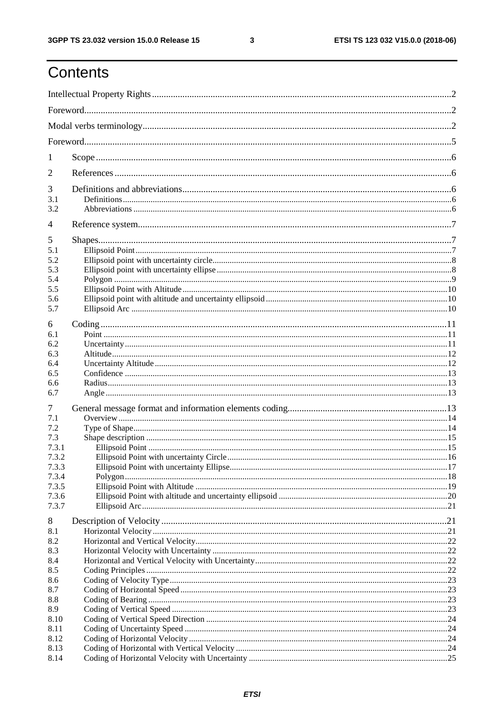$\mathbf{3}$ 

## Contents

| 1              |  |  |  |  |  |
|----------------|--|--|--|--|--|
| 2              |  |  |  |  |  |
| 3              |  |  |  |  |  |
| 3.1<br>3.2     |  |  |  |  |  |
| $\overline{4}$ |  |  |  |  |  |
| 5              |  |  |  |  |  |
| 5.1            |  |  |  |  |  |
| 5.2            |  |  |  |  |  |
| 5.3            |  |  |  |  |  |
| 5.4            |  |  |  |  |  |
| 5.5            |  |  |  |  |  |
| 5.6            |  |  |  |  |  |
| 5.7            |  |  |  |  |  |
| 6              |  |  |  |  |  |
| 6.1            |  |  |  |  |  |
| 6.2            |  |  |  |  |  |
| 6.3            |  |  |  |  |  |
| 6.4            |  |  |  |  |  |
| 6.5            |  |  |  |  |  |
| 6.6            |  |  |  |  |  |
| 6.7            |  |  |  |  |  |
| 7              |  |  |  |  |  |
| 7.1            |  |  |  |  |  |
| 7.2            |  |  |  |  |  |
| 7.3            |  |  |  |  |  |
| 7.3.1<br>7.3.2 |  |  |  |  |  |
| 7.3.3          |  |  |  |  |  |
| 7.3.4          |  |  |  |  |  |
| 7.3.5          |  |  |  |  |  |
| 7.3.6          |  |  |  |  |  |
| 7.3.7          |  |  |  |  |  |
| 8              |  |  |  |  |  |
| 8.1            |  |  |  |  |  |
| 8.2            |  |  |  |  |  |
| 8.3            |  |  |  |  |  |
| 8.4            |  |  |  |  |  |
| 8.5            |  |  |  |  |  |
| 8.6            |  |  |  |  |  |
| 8.7            |  |  |  |  |  |
| 8.8            |  |  |  |  |  |
| 8.9            |  |  |  |  |  |
| 8.10           |  |  |  |  |  |
| 8.11           |  |  |  |  |  |
| 8.12           |  |  |  |  |  |
| 8.13           |  |  |  |  |  |
| 8.14           |  |  |  |  |  |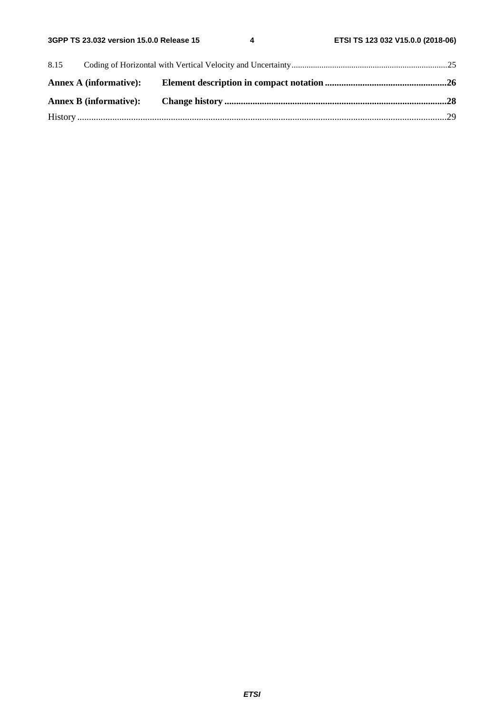| 8.15 |  |  |  |  |
|------|--|--|--|--|
|      |  |  |  |  |
|      |  |  |  |  |
|      |  |  |  |  |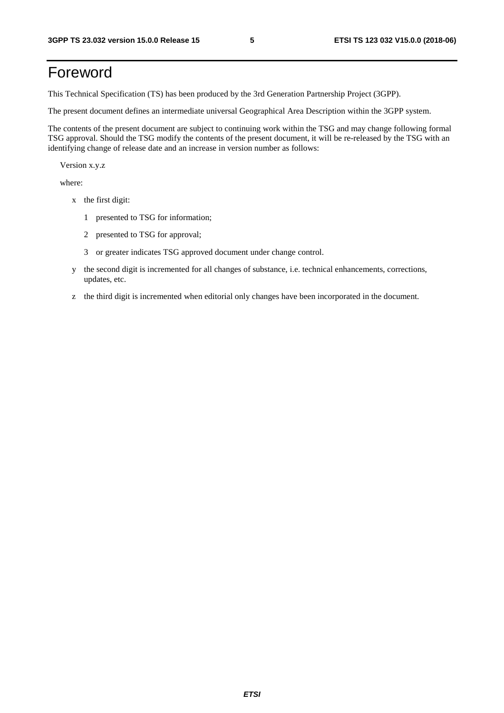## Foreword

This Technical Specification (TS) has been produced by the 3rd Generation Partnership Project (3GPP).

The present document defines an intermediate universal Geographical Area Description within the 3GPP system.

The contents of the present document are subject to continuing work within the TSG and may change following formal TSG approval. Should the TSG modify the contents of the present document, it will be re-released by the TSG with an identifying change of release date and an increase in version number as follows:

Version x.y.z

where:

- x the first digit:
	- 1 presented to TSG for information;
	- 2 presented to TSG for approval;
	- 3 or greater indicates TSG approved document under change control.
- y the second digit is incremented for all changes of substance, i.e. technical enhancements, corrections, updates, etc.
- z the third digit is incremented when editorial only changes have been incorporated in the document.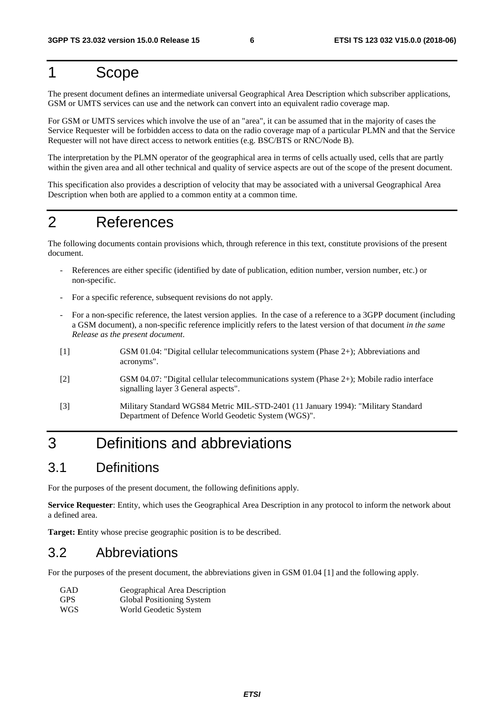## 1 Scope

The present document defines an intermediate universal Geographical Area Description which subscriber applications, GSM or UMTS services can use and the network can convert into an equivalent radio coverage map.

For GSM or UMTS services which involve the use of an "area", it can be assumed that in the majority of cases the Service Requester will be forbidden access to data on the radio coverage map of a particular PLMN and that the Service Requester will not have direct access to network entities (e.g. BSC/BTS or RNC/Node B).

The interpretation by the PLMN operator of the geographical area in terms of cells actually used, cells that are partly within the given area and all other technical and quality of service aspects are out of the scope of the present document.

This specification also provides a description of velocity that may be associated with a universal Geographical Area Description when both are applied to a common entity at a common time.

## 2 References

The following documents contain provisions which, through reference in this text, constitute provisions of the present document.

- References are either specific (identified by date of publication, edition number, version number, etc.) or non-specific.
- For a specific reference, subsequent revisions do not apply.
- For a non-specific reference, the latest version applies. In the case of a reference to a 3GPP document (including a GSM document), a non-specific reference implicitly refers to the latest version of that document *in the same Release as the present document*.
- [1] GSM 01.04: "Digital cellular telecommunications system (Phase 2+); Abbreviations and acronyms".
- [2] GSM 04.07: "Digital cellular telecommunications system (Phase 2+); Mobile radio interface signalling layer 3 General aspects".
- [3] Military Standard WGS84 Metric MIL-STD-2401 (11 January 1994): "Military Standard Department of Defence World Geodetic System (WGS)".

## 3 Definitions and abbreviations

### 3.1 Definitions

For the purposes of the present document, the following definitions apply.

**Service Requester**: Entity, which uses the Geographical Area Description in any protocol to inform the network about a defined area.

**Target: E**ntity whose precise geographic position is to be described.

### 3.2 Abbreviations

For the purposes of the present document, the abbreviations given in GSM 01.04 [1] and the following apply.

| GAD  | Geographical Area Description |
|------|-------------------------------|
| GPS- | Global Positioning System     |
| WGS  | World Geodetic System         |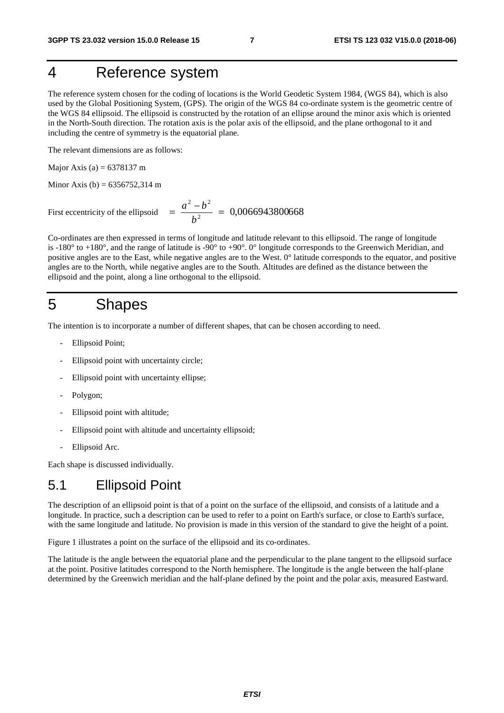## 4 Reference system

The reference system chosen for the coding of locations is the World Geodetic System 1984, (WGS 84), which is also used by the Global Positioning System, (GPS). The origin of the WGS 84 co-ordinate system is the geometric centre of the WGS 84 ellipsoid. The ellipsoid is constructed by the rotation of an ellipse around the minor axis which is oriented in the North-South direction. The rotation axis is the polar axis of the ellipsoid, and the plane orthogonal to it and including the centre of symmetry is the equatorial plane.

The relevant dimensions are as follows:

Major Axis (a) =  $6378137 \text{ m}$ 

Minor Axis (b) =  $6356752,314 \text{ m}$ 

First eccentricity of the ellipsoid  $\frac{a}{b^2} = 0.0066943800668$  $=\frac{a^2-b^2}{b^2}=$ 

Co-ordinates are then expressed in terms of longitude and latitude relevant to this ellipsoid. The range of longitude is -180° to +180°, and the range of latitude is -90° to +90°. 0° longitude corresponds to the Greenwich Meridian, and positive angles are to the East, while negative angles are to the West. 0° latitude corresponds to the equator, and positive angles are to the North, while negative angles are to the South. Altitudes are defined as the distance between the ellipsoid and the point, along a line orthogonal to the ellipsoid.

### 5 Shapes

The intention is to incorporate a number of different shapes, that can be chosen according to need.

- Ellipsoid Point;
- Ellipsoid point with uncertainty circle;
- Ellipsoid point with uncertainty ellipse:
- Polygon;
- Ellipsoid point with altitude;
- Ellipsoid point with altitude and uncertainty ellipsoid;
- Ellipsoid Arc.

Each shape is discussed individually.

#### 5.1 Ellipsoid Point

The description of an ellipsoid point is that of a point on the surface of the ellipsoid, and consists of a latitude and a longitude. In practice, such a description can be used to refer to a point on Earth's surface, or close to Earth's surface, with the same longitude and latitude. No provision is made in this version of the standard to give the height of a point.

Figure 1 illustrates a point on the surface of the ellipsoid and its co-ordinates.

The latitude is the angle between the equatorial plane and the perpendicular to the plane tangent to the ellipsoid surface at the point. Positive latitudes correspond to the North hemisphere. The longitude is the angle between the half-plane determined by the Greenwich meridian and the half-plane defined by the point and the polar axis, measured Eastward.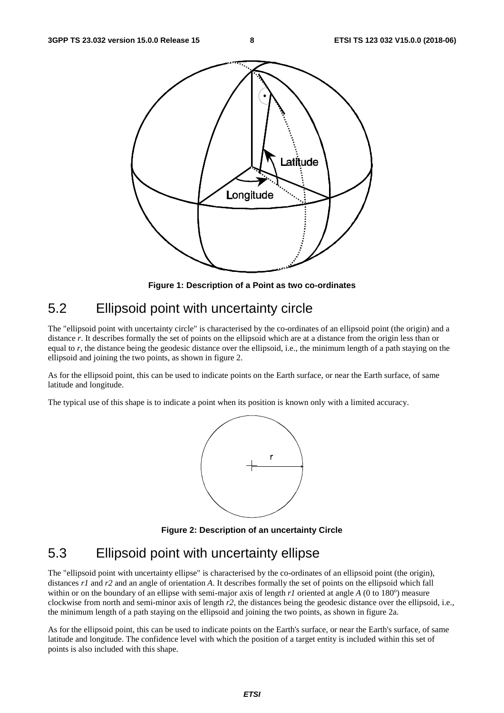

**Figure 1: Description of a Point as two co-ordinates** 

## 5.2 Ellipsoid point with uncertainty circle

The "ellipsoid point with uncertainty circle" is characterised by the co-ordinates of an ellipsoid point (the origin) and a distance *r*. It describes formally the set of points on the ellipsoid which are at a distance from the origin less than or equal to *r*, the distance being the geodesic distance over the ellipsoid, i.e., the minimum length of a path staying on the ellipsoid and joining the two points, as shown in figure 2.

As for the ellipsoid point, this can be used to indicate points on the Earth surface, or near the Earth surface, of same latitude and longitude.

The typical use of this shape is to indicate a point when its position is known only with a limited accuracy.



**Figure 2: Description of an uncertainty Circle** 

### 5.3 Ellipsoid point with uncertainty ellipse

The "ellipsoid point with uncertainty ellipse" is characterised by the co-ordinates of an ellipsoid point (the origin), distances *r1* and *r2* and an angle of orientation *A*. It describes formally the set of points on the ellipsoid which fall within or on the boundary of an ellipse with semi-major axis of length  $r$ *l* oriented at angle  $A$  (0 to 180 $^{\circ}$ ) measure clockwise from north and semi-minor axis of length *r2*, the distances being the geodesic distance over the ellipsoid, i.e., the minimum length of a path staying on the ellipsoid and joining the two points, as shown in figure 2a.

As for the ellipsoid point, this can be used to indicate points on the Earth's surface, or near the Earth's surface, of same latitude and longitude. The confidence level with which the position of a target entity is included within this set of points is also included with this shape.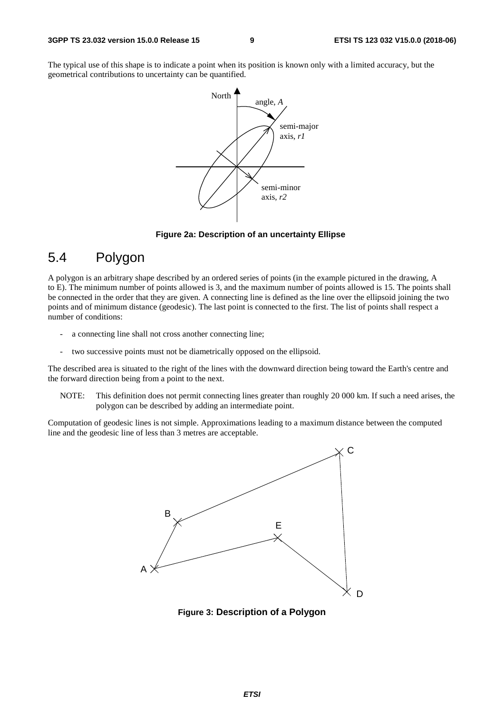The typical use of this shape is to indicate a point when its position is known only with a limited accuracy, but the geometrical contributions to uncertainty can be quantified.



#### **Figure 2a: Description of an uncertainty Ellipse**

### 5.4 Polygon

A polygon is an arbitrary shape described by an ordered series of points (in the example pictured in the drawing, A to E). The minimum number of points allowed is 3, and the maximum number of points allowed is 15. The points shall be connected in the order that they are given. A connecting line is defined as the line over the ellipsoid joining the two points and of minimum distance (geodesic). The last point is connected to the first. The list of points shall respect a number of conditions:

- a connecting line shall not cross another connecting line;
- two successive points must not be diametrically opposed on the ellipsoid.

The described area is situated to the right of the lines with the downward direction being toward the Earth's centre and the forward direction being from a point to the next.

NOTE: This definition does not permit connecting lines greater than roughly 20 000 km. If such a need arises, the polygon can be described by adding an intermediate point.

Computation of geodesic lines is not simple. Approximations leading to a maximum distance between the computed line and the geodesic line of less than 3 metres are acceptable.



**Figure 3: Description of a Polygon**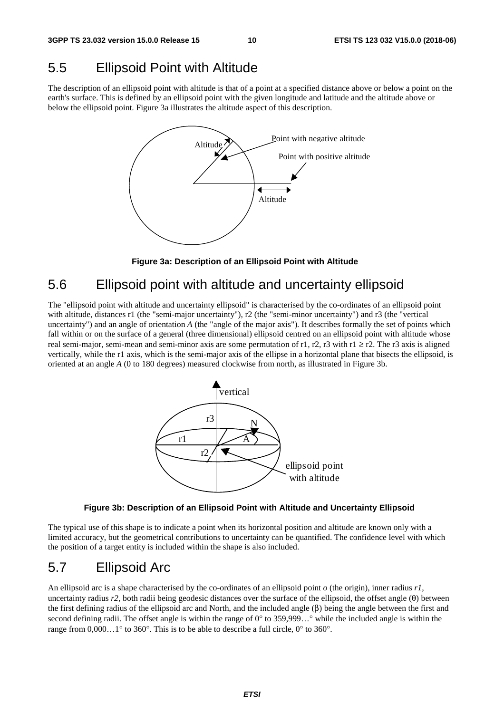### 5.5 Ellipsoid Point with Altitude

The description of an ellipsoid point with altitude is that of a point at a specified distance above or below a point on the earth's surface. This is defined by an ellipsoid point with the given longitude and latitude and the altitude above or below the ellipsoid point. Figure 3a illustrates the altitude aspect of this description.



**Figure 3a: Description of an Ellipsoid Point with Altitude** 

### 5.6 Ellipsoid point with altitude and uncertainty ellipsoid

The "ellipsoid point with altitude and uncertainty ellipsoid" is characterised by the co-ordinates of an ellipsoid point with altitude, distances r1 (the "semi-major uncertainty"), r2 (the "semi-minor uncertainty") and r3 (the "vertical uncertainty") and an angle of orientation *A* (the "angle of the major axis")*.* It describes formally the set of points which fall within or on the surface of a general (three dimensional) ellipsoid centred on an ellipsoid point with altitude whose real semi-major, semi-mean and semi-minor axis are some permutation of r1, r2, r3 with r1  $\geq$  r2. The r3 axis is aligned vertically, while the r1 axis, which is the semi-major axis of the ellipse in a horizontal plane that bisects the ellipsoid, is oriented at an angle *A* (0 to 180 degrees) measured clockwise from north, as illustrated in Figure 3b.



**Figure 3b: Description of an Ellipsoid Point with Altitude and Uncertainty Ellipsoid** 

The typical use of this shape is to indicate a point when its horizontal position and altitude are known only with a limited accuracy, but the geometrical contributions to uncertainty can be quantified. The confidence level with which the position of a target entity is included within the shape is also included.

### 5.7 Ellipsoid Arc

An ellipsoid arc is a shape characterised by the co-ordinates of an ellipsoid point *o* (the origin), inner radius *r1,*  uncertainty radius *r2*, both radii being geodesic distances over the surface of the ellipsoid, the offset angle (θ) between the first defining radius of the ellipsoid arc and North, and the included angle (β) being the angle between the first and second defining radii. The offset angle is within the range of 0° to 359,999…° while the included angle is within the range from  $0,000...1^{\circ}$  to 360°. This is to be able to describe a full circle, 0° to 360°.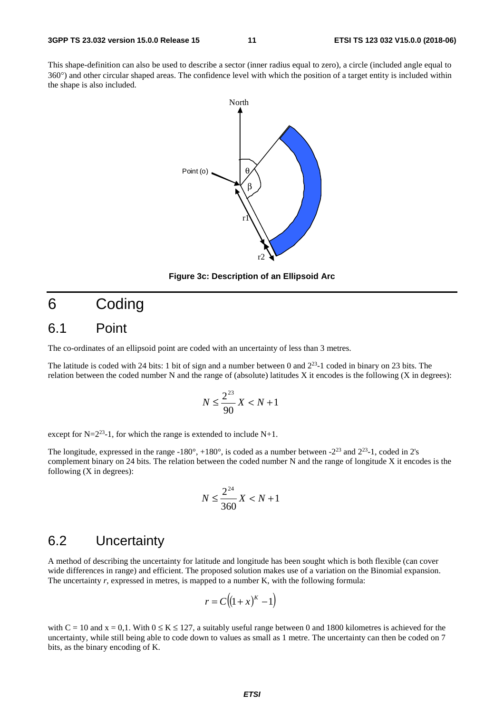This shape-definition can also be used to describe a sector (inner radius equal to zero), a circle (included angle equal to 360°) and other circular shaped areas. The confidence level with which the position of a target entity is included within the shape is also included.



**Figure 3c: Description of an Ellipsoid Arc** 

## 6 Coding

#### 6.1 Point

The co-ordinates of an ellipsoid point are coded with an uncertainty of less than 3 metres.

The latitude is coded with 24 bits: 1 bit of sign and a number between 0 and 223-1 coded in binary on 23 bits. The relation between the coded number N and the range of (absolute) latitudes X it encodes is the following (X in degrees):

$$
N \le \frac{2^{23}}{90}X < N+1
$$

except for  $N=2^{23}-1$ , for which the range is extended to include N+1.

The longitude, expressed in the range -180 $^{\circ}$ , +180 $^{\circ}$ , is coded as a number between -2<sup>23</sup> and 2<sup>23</sup>-1, coded in 2's complement binary on 24 bits. The relation between the coded number N and the range of longitude X it encodes is the following (X in degrees):

$$
N \le \frac{2^{24}}{360}X < N+1
$$

### 6.2 Uncertainty

A method of describing the uncertainty for latitude and longitude has been sought which is both flexible (can cover wide differences in range) and efficient. The proposed solution makes use of a variation on the Binomial expansion. The uncertainty *r*, expressed in metres, is mapped to a number K, with the following formula:

$$
r = C\big((1+x)^K - 1\big)
$$

with  $C = 10$  and  $x = 0.1$ . With  $0 \le K \le 127$ , a suitably useful range between 0 and 1800 kilometres is achieved for the uncertainty, while still being able to code down to values as small as 1 metre. The uncertainty can then be coded on 7 bits, as the binary encoding of K.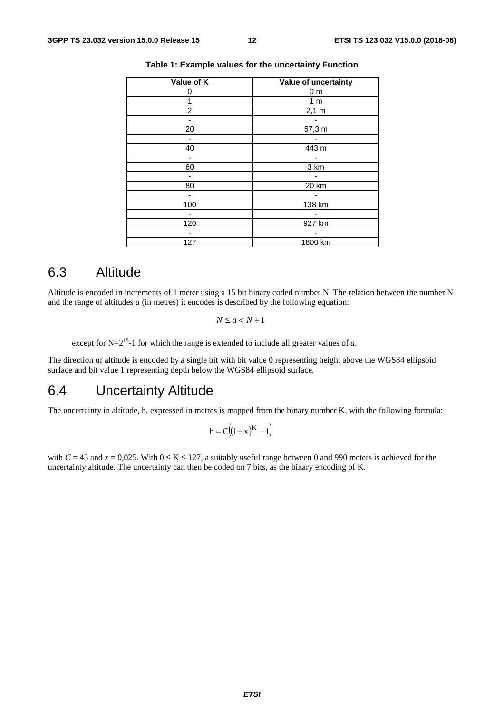| Value of K     | Value of uncertainty |
|----------------|----------------------|
| 0              | 0 <sub>m</sub>       |
|                | 1 <sub>m</sub>       |
| $\overline{c}$ | 2,1 m                |
|                |                      |
| 20             | 57,3 m               |
|                |                      |
| 40             | 443 m                |
|                |                      |
| 60             | 3 km                 |
|                |                      |
| 80             | 20 km                |
|                |                      |
| 100            | 138 km               |
|                |                      |
| 120            | 927 km               |
|                |                      |
| 127            | 1800 km              |

#### **Table 1: Example values for the uncertainty Function**

#### 6.3 Altitude

Altitude is encoded in increments of 1 meter using a 15 bit binary coded number N. The relation between the number N and the range of altitudes *a* (in metres) it encodes is described by the following equation:

 $N \leq a \leq N+1$ 

except for  $N=2^{15}-1$  for which the range is extended to include all greater values of *a*.

The direction of altitude is encoded by a single bit with bit value 0 representing height above the WGS84 ellipsoid surface and bit value 1 representing depth below the WGS84 ellipsoid surface.

### 6.4 Uncertainty Altitude

The uncertainty in altitude, h, expressed in metres is mapped from the binary number K, with the following formula:

$$
h = C((1+x)^K - 1)
$$

with  $C = 45$  and  $x = 0.025$ . With  $0 \le K \le 127$ , a suitably useful range between 0 and 990 meters is achieved for the uncertainty altitude. The uncertainty can then be coded on 7 bits, as the binary encoding of K.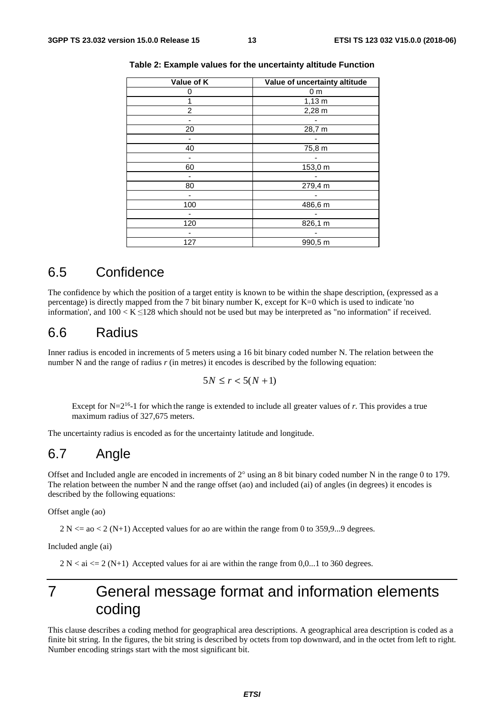| Value of K | Value of uncertainty altitude |
|------------|-------------------------------|
| 0          | 0 <sub>m</sub>                |
|            | $1,13 \; m$                   |
| 2          | $2,28 \text{ m}$              |
|            |                               |
| 20         | 28,7 m                        |
|            |                               |
| 40         | 75,8 m                        |
|            |                               |
| 60         | 153,0 m                       |
|            |                               |
| 80         | 279,4 m                       |
|            |                               |
| 100        | 486,6 m                       |
|            |                               |
| 120        | 826,1 m                       |
|            |                               |
| 127        | 990,5 m                       |

#### **Table 2: Example values for the uncertainty altitude Function**

#### 6.5 Confidence

The confidence by which the position of a target entity is known to be within the shape description, (expressed as a percentage) is directly mapped from the 7 bit binary number K, except for K=0 which is used to indicate 'no information', and  $100 < K \leq 128$  which should not be used but may be interpreted as "no information" if received.

#### 6.6 Radius

Inner radius is encoded in increments of 5 meters using a 16 bit binary coded number N. The relation between the number N and the range of radius  $r$  (in metres) it encodes is described by the following equation:

$$
5N \le r < 5(N+1)
$$

Except for  $N=2^{16}-1$  for which the range is extended to include all greater values of *r*. This provides a true maximum radius of 327,675 meters.

The uncertainty radius is encoded as for the uncertainty latitude and longitude.

### 6.7 Angle

Offset and Included angle are encoded in increments of  $2^{\circ}$  using an 8 bit binary coded number N in the range 0 to 179. The relation between the number N and the range offset (ao) and included (ai) of angles (in degrees) it encodes is described by the following equations:

Offset angle (ao)

 $2 N \le a < 2 (N+1)$  Accepted values for ao are within the range from 0 to 359,9...9 degrees.

Included angle (ai)

 $2 N < ai \le 2 (N+1)$  Accepted values for ai are within the range from 0,0...1 to 360 degrees.

## 7 General message format and information elements coding

This clause describes a coding method for geographical area descriptions. A geographical area description is coded as a finite bit string. In the figures, the bit string is described by octets from top downward, and in the octet from left to right. Number encoding strings start with the most significant bit.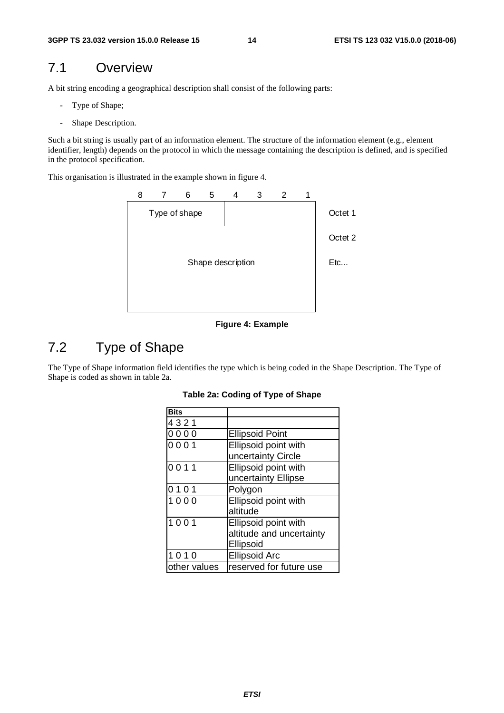### 7.1 Overview

A bit string encoding a geographical description shall consist of the following parts:

- Type of Shape;
- Shape Description.

Such a bit string is usually part of an information element. The structure of the information element (e.g., element identifier, length) depends on the protocol in which the message containing the description is defined, and is specified in the protocol specification.

This organisation is illustrated in the example shown in figure 4.



**Figure 4: Example** 

### 7.2 Type of Shape

The Type of Shape information field identifies the type which is being coded in the Shape Description. The Type of Shape is coded as shown in table 2a.

| <b>Bits</b>  |                          |
|--------------|--------------------------|
| 4321         |                          |
| 0000         | <b>Ellipsoid Point</b>   |
| 0001         | Ellipsoid point with     |
|              | uncertainty Circle       |
| 0011         | Ellipsoid point with     |
|              | uncertainty Ellipse      |
| 0101         | Polygon                  |
| 1000         | Ellipsoid point with     |
|              | altitude                 |
| 1001         | Ellipsoid point with     |
|              | altitude and uncertainty |
|              | Ellipsoid                |
| 1010         | <b>Ellipsoid Arc</b>     |
| other values | reserved for future use  |

#### **Table 2a: Coding of Type of Shape**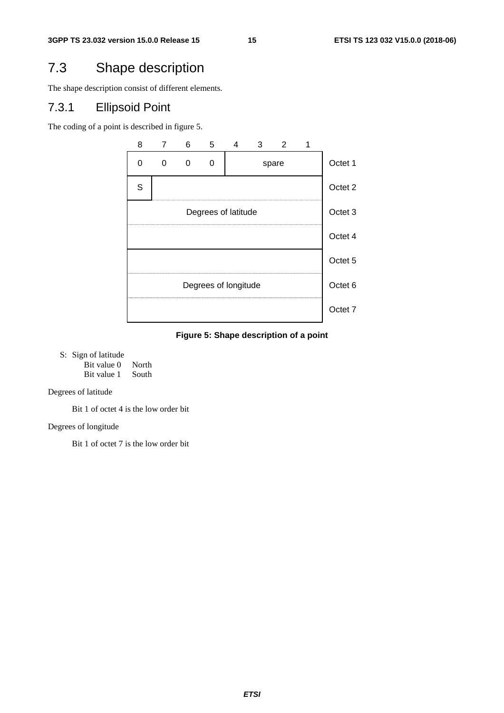### 7.3 Shape description

The shape description consist of different elements.

#### 7.3.1 Ellipsoid Point

The coding of a point is described in figure 5.



**Figure 5: Shape description of a point** 

S: Sign of latitude

Bit value 0 North<br>Bit value 1 South Bit value 1

Degrees of latitude

Bit 1 of octet 4 is the low order bit

Degrees of longitude

Bit 1 of octet 7 is the low order bit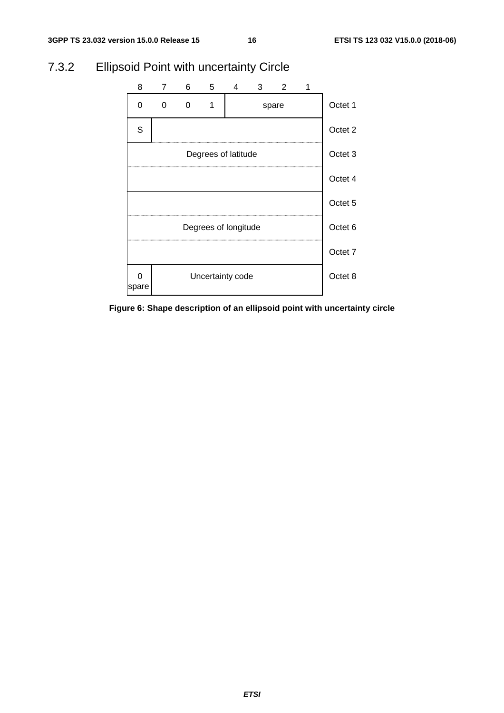

### 7.3.2 Ellipsoid Point with uncertainty Circle

**Figure 6: Shape description of an ellipsoid point with uncertainty circle**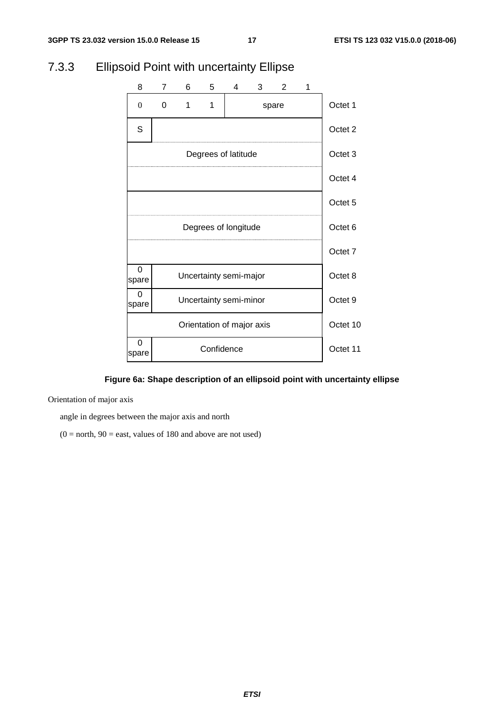

#### 7.3.3 Ellipsoid Point with uncertainty Ellipse

#### **Figure 6a: Shape description of an ellipsoid point with uncertainty ellipse**

Orientation of major axis

angle in degrees between the major axis and north

 $(0 = north, 90 = east, values of 180 and above are not used)$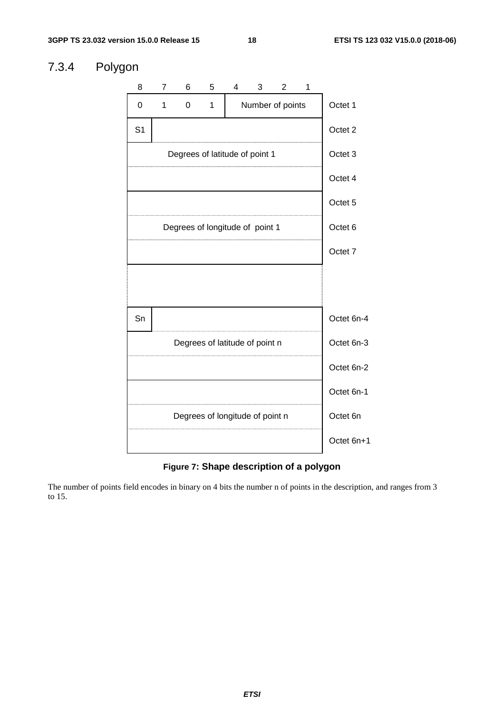#### 7.3.4 Polygon



**Figure 7: Shape description of a polygon**

The number of points field encodes in binary on 4 bits the number n of points in the description, and ranges from 3 to 15.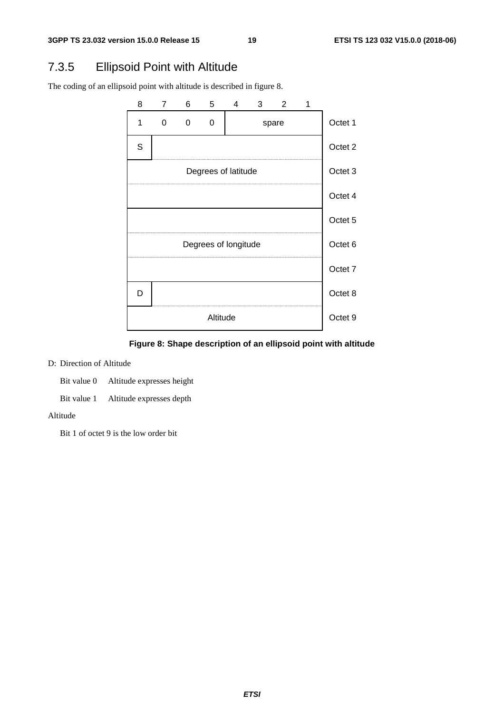### 7.3.5 Ellipsoid Point with Altitude

The coding of an ellipsoid point with altitude is described in figure 8.



**Figure 8: Shape description of an ellipsoid point with altitude** 

#### D: Direction of Altitude

Bit value 0 Altitude expresses height

Bit value 1 Altitude expresses depth

#### Altitude

Bit 1 of octet 9 is the low order bit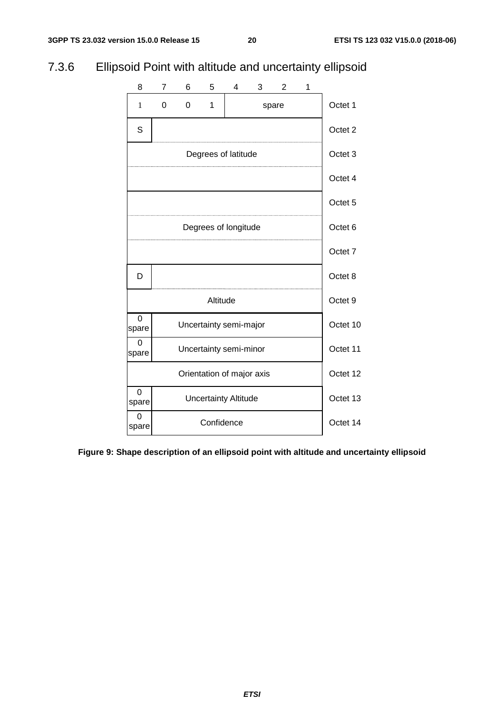## 7.3.6 Ellipsoid Point with altitude and uncertainty ellipsoid



**Figure 9: Shape description of an ellipsoid point with altitude and uncertainty ellipsoid**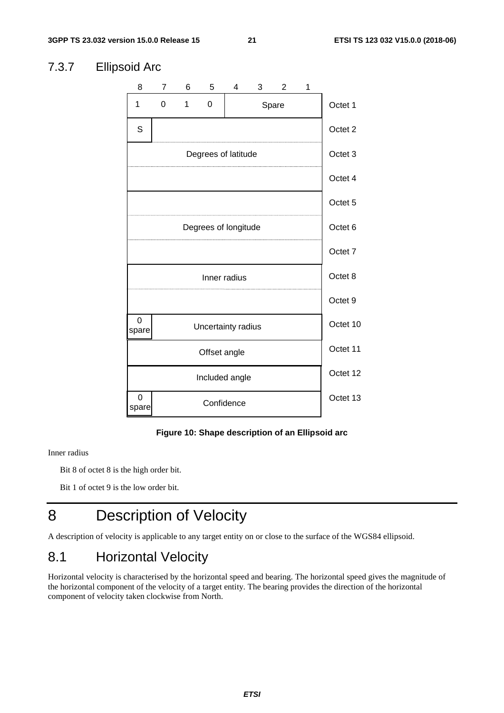#### 8 7 6 5 4 3 2 1 S Degrees of latitude Degrees of longitude Octet 7 Octet 6 Octet 5 Octet 3 Octet 4 Octet 2 Octet 1 Octet 10 Octet 11 Octet 12 Octet 8 Octet 9 Octet 13 1 0 1 0 | Spare Inner radius Uncertainty radius 0 spare Offset angle Included angle 0 Confidence spare

### 7.3.7 Ellipsoid Arc

**Figure 10: Shape description of an Ellipsoid arc** 

#### Inner radius

Bit 8 of octet 8 is the high order bit.

Bit 1 of octet 9 is the low order bit.

## 8 Description of Velocity

A description of velocity is applicable to any target entity on or close to the surface of the WGS84 ellipsoid.

### 8.1 Horizontal Velocity

Horizontal velocity is characterised by the horizontal speed and bearing. The horizontal speed gives the magnitude of the horizontal component of the velocity of a target entity. The bearing provides the direction of the horizontal component of velocity taken clockwise from North.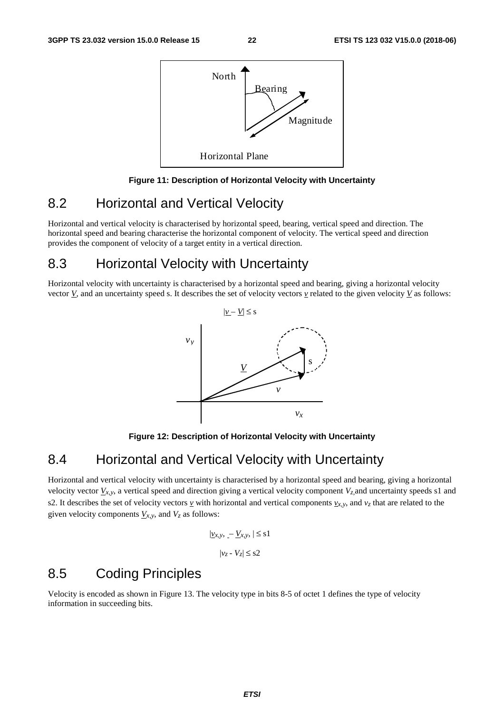

#### **Figure 11: Description of Horizontal Velocity with Uncertainty**

### 8.2 Horizontal and Vertical Velocity

Horizontal and vertical velocity is characterised by horizontal speed, bearing, vertical speed and direction. The horizontal speed and bearing characterise the horizontal component of velocity. The vertical speed and direction provides the component of velocity of a target entity in a vertical direction.

### 8.3 Horizontal Velocity with Uncertainty

Horizontal velocity with uncertainty is characterised by a horizontal speed and bearing, giving a horizontal velocity vector  $\underline{V}$ , and an uncertainty speed s. It describes the set of velocity vectors  $\underline{v}$  related to the given velocity  $\underline{V}$  as follows:



**Figure 12: Description of Horizontal Velocity with Uncertainty** 

### 8.4 Horizontal and Vertical Velocity with Uncertainty

Horizontal and vertical velocity with uncertainty is characterised by a horizontal speed and bearing, giving a horizontal velocity vector  $\underline{V}_{x,y}$ , a vertical speed and direction giving a vertical velocity component  $V_z$  and uncertainty speeds s1 and s2. It describes the set of velocity vectors  $\gamma$  with horizontal and vertical components  $\gamma_{x,y}$ , and  $\gamma_z$  that are related to the given velocity components  $V_{x,y}$ , and  $V_z$  as follows:

$$
|\underline{v}_{x,y}, -\underline{V}_{x,y}, |\leq s1
$$

$$
|v_z - V_z| \leq s2
$$

### 8.5 Coding Principles

Velocity is encoded as shown in Figure 13. The velocity type in bits 8-5 of octet 1 defines the type of velocity information in succeeding bits.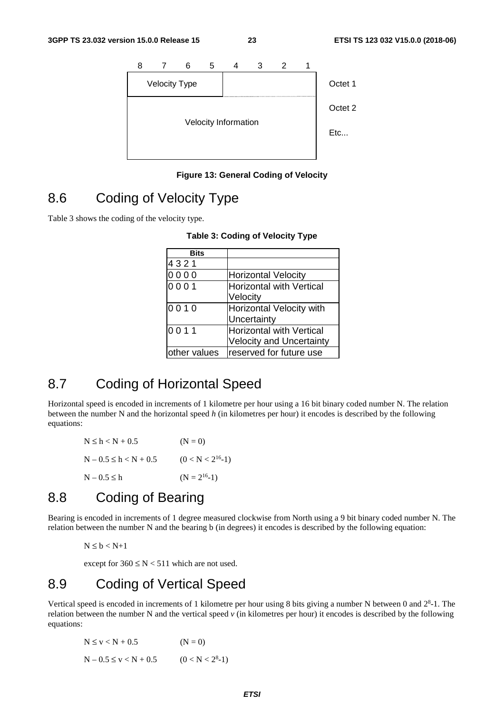

**Figure 13: General Coding of Velocity** 

### 8.6 Coding of Velocity Type

Table 3 shows the coding of the velocity type.

| <b>Bits</b>  |                                 |
|--------------|---------------------------------|
| 4321         |                                 |
| 0000         | <b>Horizontal Velocity</b>      |
| 0001         | <b>Horizontal with Vertical</b> |
|              | Velocity                        |
| 0010         | Horizontal Velocity with        |
|              | Uncertainty                     |
| 0011         | <b>Horizontal with Vertical</b> |
|              | <b>Velocity and Uncertainty</b> |
| other values | reserved for future use         |

#### **Table 3: Coding of Velocity Type**

## 8.7 Coding of Horizontal Speed

Horizontal speed is encoded in increments of 1 kilometre per hour using a 16 bit binary coded number N. The relation between the number N and the horizontal speed *h* (in kilometres per hour) it encodes is described by the following equations:

| $N \le h < N + 0.5$       | $(N = 0)$              |
|---------------------------|------------------------|
| $N - 0.5 \le h < N + 0.5$ | $(0 < N < 2^{16} - 1)$ |
| $N - 0.5 \leq h$          | $(N = 2^{16}-1)$       |

### 8.8 Coding of Bearing

Bearing is encoded in increments of 1 degree measured clockwise from North using a 9 bit binary coded number N. The relation between the number N and the bearing b (in degrees) it encodes is described by the following equation:

$$
N\leq b < N{+}1
$$

except for  $360 \le N < 511$  which are not used.

### 8.9 Coding of Vertical Speed

Vertical speed is encoded in increments of 1 kilometre per hour using 8 bits giving a number N between 0 and  $2<sup>8</sup>$ -1. The relation between the number N and the vertical speed *v* (in kilometres per hour) it encodes is described by the following equations:

$$
N \le v < N + 0.5 \qquad (N = 0)
$$
  
N - 0.5 \le v < N + 0.5 \qquad (0 < N < 2<sup>8</sup>-1)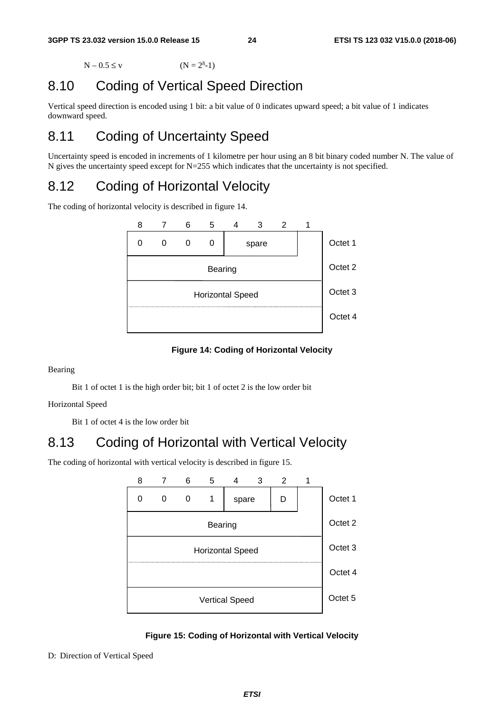$N - 0.5 \leq v$  $(N = 2<sup>8</sup>-1)$ 

## 8.10 Coding of Vertical Speed Direction

Vertical speed direction is encoded using 1 bit: a bit value of 0 indicates upward speed; a bit value of 1 indicates downward speed.

## 8.11 Coding of Uncertainty Speed

Uncertainty speed is encoded in increments of 1 kilometre per hour using an 8 bit binary coded number N. The value of N gives the uncertainty speed except for N=255 which indicates that the uncertainty is not specified.

### 8.12 Coding of Horizontal Velocity

The coding of horizontal velocity is described in figure 14.



#### **Figure 14: Coding of Horizontal Velocity**

Bearing

Bit 1 of octet 1 is the high order bit; bit 1 of octet 2 is the low order bit

Horizontal Speed

Bit 1 of octet 4 is the low order bit

### 8.13 Coding of Horizontal with Vertical Velocity

The coding of horizontal with vertical velocity is described in figure 15.



**Figure 15: Coding of Horizontal with Vertical Velocity** 

#### D: Direction of Vertical Speed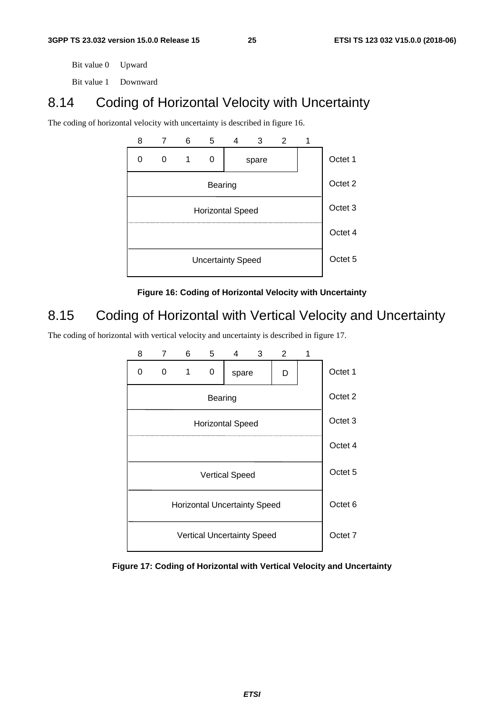Bit value 0 Upward

Bit value 1 Downward

### 8.14 Coding of Horizontal Velocity with Uncertainty

The coding of horizontal velocity with uncertainty is described in figure 16.



**Figure 16: Coding of Horizontal Velocity with Uncertainty** 

### 8.15 Coding of Horizontal with Vertical Velocity and Uncertainty

The coding of horizontal with vertical velocity and uncertainty is described in figure 17.



**Figure 17: Coding of Horizontal with Vertical Velocity and Uncertainty**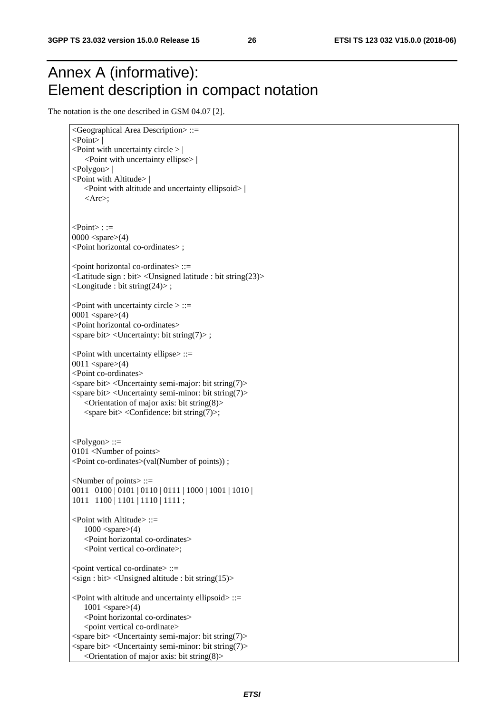## Annex A (informative): Element description in compact notation

The notation is the one described in GSM 04.07 [2].

```
<Geographical Area Description> ::= 
 <Point> | 
\leqPoint with uncertainty circle > |
     <Point with uncertainty ellipse> | 
 <Polygon> | 
 <Point with Altitude> | 
   <Point with altitude and uncertainty ellipsoid> | 
   <Arc>:
\langle Point \rangle: :=
0000 <spare>(4) <Point horizontal co-ordinates> ; 
<point horizontal co-ordinates> ::=
 <Latitude sign : bit> <Unsigned latitude : bit string(23)> 
 <Longitude : bit string(24)> ; 
\leqPoint with uncertainty circle > ::=
0001 <spare>(4) <Point horizontal co-ordinates> 
 <spare bit> <Uncertainty: bit string(7)> ; 
\lePoint with uncertainty ellipse\ge ::=
 0011 <spare>(4) 
 <Point co-ordinates> 
 <spare bit> <Uncertainty semi-major: bit string(7)> 
 <spare bit> <Uncertainty semi-minor: bit string(7)> 
   \leqOrientation of major axis: bit string(8)>\langlespare bit\rangle\langleConfidence: bit string(7)\rangle;
<Polygon> ::= 
 0101 <Number of points> 
 <Point co-ordinates>(val(Number of points)) ; 
<Number of points> ::= 
 0011 | 0100 | 0101 | 0110 | 0111 | 1000 | 1001 | 1010 | 
 1011 | 1100 | 1101 | 1110 | 1111 ; 
<Point with Altitude> ::= 
   1000 <spare>(4)<Point horizontal co-ordinates> 
   <Point vertical co-ordinate>; 
\lepoint vertical co-ordinate\ge ::=
 <sign : bit> <Unsigned altitude : bit string(15)> 
\lePoint with altitude and uncertainty ellipsoid> ::=
   1001 <spare>(4)<Point horizontal co-ordinates> 
   <point vertical co-ordinate> 
\langlespare bit\rangle\langleUncertainty semi-major: bit string(7)\rangle\langlespare bit\rangle \langleUncertainty semi-minor: bit string(7)\rangle\leqOrientation of major axis: bit string(8)
```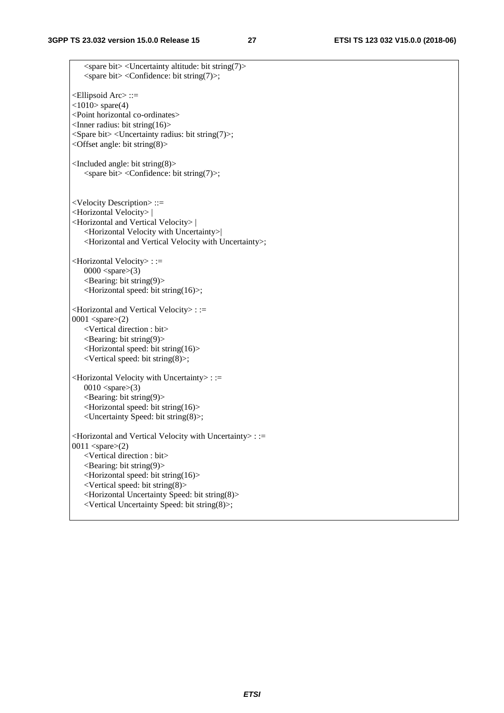$\langle$ spare bit $>$  $\langle$ Uncertainty altitude: bit string(7) $>$  $\langle$ spare bit $\rangle$   $\langle$ Confidence: bit string(7) $\rangle$ ; <Ellipsoid Arc> ::=  $\langle 1010 \rangle$  spare(4) <Point horizontal co-ordinates>  $\langle$ Inner radius: bit string(16) $>$  <Spare bit> <Uncertainty radius: bit string(7)>; <Offset angle: bit string(8)> <Included angle: bit string(8)>  $\langle$ spare bit $\rangle$  $\langle$ Confidence: bit string(7) $\rangle$ ; <Velocity Description> ::= <Horizontal Velocity> | <Horizontal and Vertical Velocity> | <Horizontal Velocity with Uncertainty>| <Horizontal and Vertical Velocity with Uncertainty>; <Horizontal Velocity> : :=  $0000$  <spare> $(3)$  $\leq$ Bearing: bit string(9) $>$ <Horizontal speed: bit string(16)>; <Horizontal and Vertical Velocity> : := 0001 <spare>(2) <Vertical direction : bit>  $\leq$ Bearing: bit string(9) $>$ <Horizontal speed: bit string(16)> <Vertical speed: bit string(8)>; <Horizontal Velocity with Uncertainty> : :=  $0010$  <spare> $(3)$  $\leq$ Bearing: bit string(9) $>$ <Horizontal speed: bit string(16)> <Uncertainty Speed: bit string(8)>; <Horizontal and Vertical Velocity with Uncertainty> : := 0011  $<$ spare $>(2)$ <Vertical direction : bit>  $\leq$ Bearing: bit string(9) $>$ <Horizontal speed: bit string(16)> <Vertical speed: bit string(8)> <Horizontal Uncertainty Speed: bit string(8)> <Vertical Uncertainty Speed: bit string(8)>;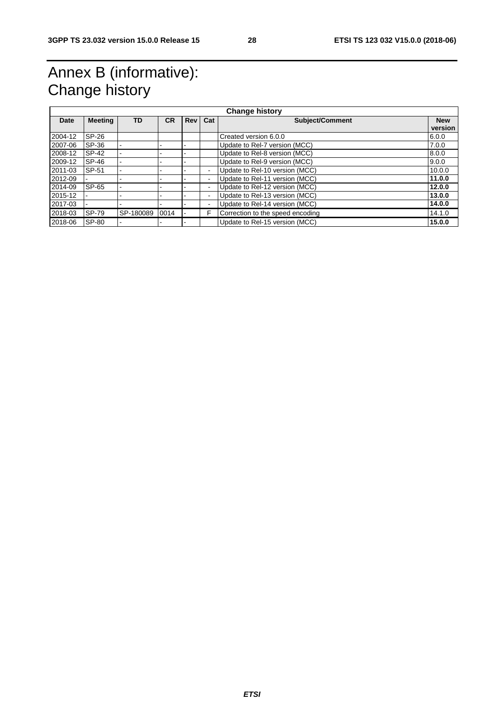## Annex B (informative): Change history

| <b>Change history</b> |                |           |           |     |                          |                                  |            |
|-----------------------|----------------|-----------|-----------|-----|--------------------------|----------------------------------|------------|
| Date                  | <b>Meeting</b> | TD        | <b>CR</b> | Rev | Cat                      | Subject/Comment                  | <b>New</b> |
|                       |                |           |           |     |                          |                                  | version    |
| 2004-12               | SP-26          |           |           |     |                          | Created version 6.0.0            | 6.0.0      |
| 2007-06               | SP-36          |           |           |     |                          | Update to Rel-7 version (MCC)    | 7.0.0      |
| 2008-12               | SP-42          |           |           |     |                          | Update to Rel-8 version (MCC)    | 8.0.0      |
| 2009-12               | SP-46          |           |           |     |                          | Update to Rel-9 version (MCC)    | 9.0.0      |
| 2011-03               | SP-51          |           |           |     | $\blacksquare$           | Update to Rel-10 version (MCC)   | 10.0.0     |
| 2012-09               |                |           |           |     | $\overline{\phantom{a}}$ | Update to Rel-11 version (MCC)   | 11.0.0     |
| 2014-09               | SP-65          |           |           |     | $\overline{\phantom{a}}$ | Update to Rel-12 version (MCC)   | 12.0.0     |
| 2015-12               |                |           |           |     | $\blacksquare$           | Update to Rel-13 version (MCC)   | 13.0.0     |
| 2017-03               |                |           |           |     | $\overline{\phantom{a}}$ | Update to Rel-14 version (MCC)   | 14.0.0     |
| 2018-03               | SP-79          | SP-180089 | 0014      |     | F                        | Correction to the speed encoding | 14.1.0     |
| 2018-06               | SP-80          |           |           |     |                          | Update to Rel-15 version (MCC)   | 15.0.0     |